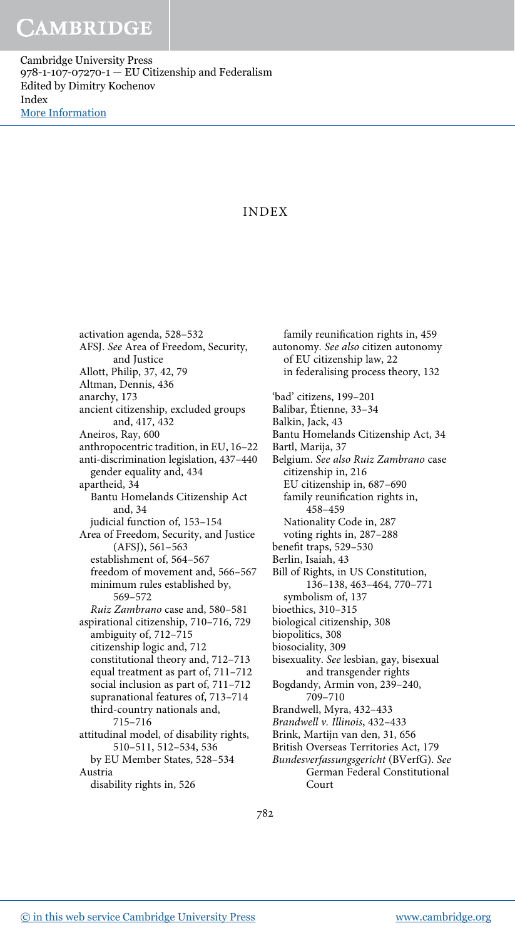Cambridge University Press 978-1-107-07270-1 — EU Citizenship and Federalism Edited by Dimitry Kochenov Index [More Information](www.cambridge.org/9781107072701)

### INDEX

activation agenda, 528–532 AFSJ. See Area of Freedom, Security, and Justice Allott, Philip, 37, 42, 79 Altman, Dennis, 436 anarchy, 173 ancient citizenship, excluded groups and, 417, 432 Aneiros, Ray, 600 anthropocentric tradition, in EU, 16–22 anti-discrimination legislation, 437–440 gender equality and, 434 apartheid, 34 Bantu Homelands Citizenship Act and, 34 judicial function of, 153–154 Area of Freedom, Security, and Justice (AFSJ), 561–563 establishment of, 564–567 freedom of movement and, 566–567 minimum rules established by, 569–572 Ruiz Zambrano case and, 580–581 aspirational citizenship, 710–716, 729 ambiguity of, 712–715 citizenship logic and, 712 constitutional theory and, 712–713 equal treatment as part of, 711–712 social inclusion as part of, 711–712 supranational features of, 713–714 third-country nationals and, 715–716 attitudinal model, of disability rights, 510–511, 512–534, 536 by EU Member States, 528–534 Austria disability rights in, 526

family reunification rights in, 459 autonomy. See also citizen autonomy of EU citizenship law, 22 in federalising process theory, 132 'bad' citizens, 199–201 Balibar, Étienne, 33–34 Balkin, Jack, 43 Bantu Homelands Citizenship Act, 34 Bartl, Marija, 37 Belgium. See also Ruiz Zambrano case citizenship in, 216 EU citizenship in, 687–690 family reunification rights in, 458–459 Nationality Code in, 287 voting rights in, 287–288 benefit traps, 529–530 Berlin, Isaiah, 43 Bill of Rights, in US Constitution, 136–138, 463–464, 770–771 symbolism of, 137 bioethics, 310–315 biological citizenship, 308 biopolitics, 308 biosociality, 309 bisexuality. See lesbian, gay, bisexual and transgender rights Bogdandy, Armin von, 239–240, 709–710 Brandwell, Myra, 432–433 Brandwell v. Illinois, 432–433 Brink, Martijn van den, 31, 656 British Overseas Territories Act, 179 Bundesverfassungsgericht (BVerfG). See German Federal Constitutional Court

782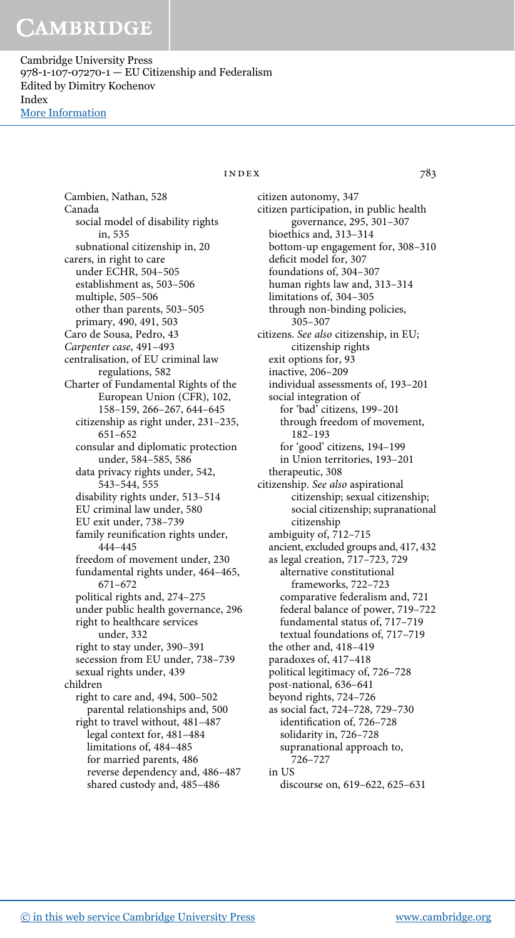Cambridge University Press 978-1-107-07270-1 — EU Citizenship and Federalism Edited by Dimitry Kochenov Index [More Information](www.cambridge.org/9781107072701)

### index 783

Cambien, Nathan, 528 Canada social model of disability rights in, 535 subnational citizenship in, 20 carers, in right to care under ECHR, 504–505 establishment as, 503–506 multiple, 505–506 other than parents, 503–505 primary, 490, 491, 503 Caro de Sousa, Pedro, 43 Carpenter case, 491–493 centralisation, of EU criminal law regulations, 582 Charter of Fundamental Rights of the European Union (CFR), 102, 158–159, 266–267, 644–645 citizenship as right under, 231–235, 651–652 consular and diplomatic protection under, 584–585, 586 data privacy rights under, 542, 543–544, 555 disability rights under, 513–514 EU criminal law under, 580 EU exit under, 738–739 family reunification rights under, 444–445 freedom of movement under, 230 fundamental rights under, 464–465, 671–672 political rights and, 274–275 under public health governance, 296 right to healthcare services under, 332 right to stay under, 390–391 secession from EU under, 738–739 sexual rights under, 439 children right to care and, 494, 500–502 parental relationships and, 500 right to travel without, 481–487 legal context for, 481–484 limitations of, 484–485 for married parents, 486 reverse dependency and, 486–487 shared custody and, 485–486

citizen autonomy, 347 citizen participation, in public health governance, 295, 301–307 bioethics and, 313–314 bottom-up engagement for, 308–310 deficit model for, 307 foundations of, 304–307 human rights law and, 313–314 limitations of, 304–305 through non-binding policies, 305–307 citizens. See also citizenship, in EU; citizenship rights exit options for, 93 inactive, 206–209 individual assessments of, 193–201 social integration of for 'bad' citizens, 199–201 through freedom of movement, 182–193 for 'good' citizens, 194–199 in Union territories, 193–201 therapeutic, 308 citizenship. See also aspirational citizenship; sexual citizenship; social citizenship; supranational citizenship ambiguity of, 712–715 ancient, excluded groups and, 417, 432 as legal creation, 717–723, 729 alternative constitutional frameworks, 722–723 comparative federalism and, 721 federal balance of power, 719–722 fundamental status of, 717–719 textual foundations of, 717–719 the other and, 418–419 paradoxes of, 417–418 political legitimacy of, 726–728 post-national, 636–641 beyond rights, 724–726 as social fact, 724–728, 729–730 identification of, 726–728 solidarity in, 726–728 supranational approach to, 726–727 in US discourse on, 619–622, 625–631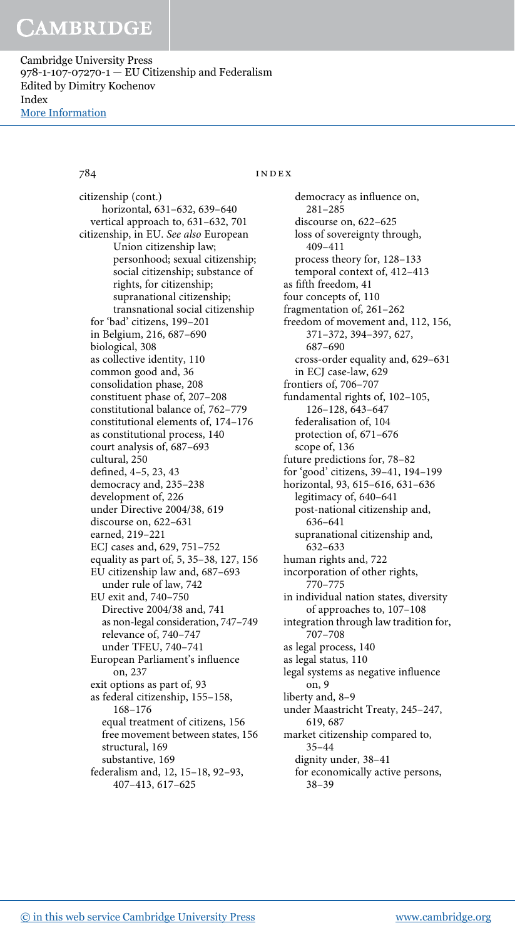Cambridge University Press 978-1-107-07270-1 — EU Citizenship and Federalism Edited by Dimitry Kochenov Index [More Information](www.cambridge.org/9781107072701)

citizenship (cont.) horizontal, 631–632, 639–640 vertical approach to, 631–632, 701 citizenship, in EU. See also European Union citizenship law; personhood; sexual citizenship; social citizenship; substance of rights, for citizenship; supranational citizenship; transnational social citizenship for 'bad' citizens, 199–201 in Belgium, 216, 687–690 biological, 308 as collective identity, 110 common good and, 36 consolidation phase, 208 constituent phase of, 207–208 constitutional balance of, 762–779 constitutional elements of, 174–176 as constitutional process, 140 court analysis of, 687–693 cultural, 250 defined, 4–5, 23, 43 democracy and, 235–238 development of, 226 under Directive 2004/38, 619 discourse on, 622–631 earned, 219–221 ECJ cases and, 629, 751–752 equality as part of, 5, 35–38, 127, 156 EU citizenship law and, 687–693 under rule of law, 742 EU exit and, 740–750 Directive 2004/38 and, 741 as non-legal consideration, 747–749 relevance of, 740–747 under TFEU, 740–741 European Parliament's influence on, 237 exit options as part of, 93 as federal citizenship, 155–158, 168–176 equal treatment of citizens, 156 free movement between states, 156 structural, 169 substantive, 169 federalism and, 12, 15–18, 92–93, 407–413, 617–625

### 784 **index**

democracy as influence on, 281–285 discourse on, 622–625 loss of sovereignty through, 409–411 process theory for, 128–133 temporal context of, 412–413 as fifth freedom, 41 four concepts of, 110 fragmentation of, 261–262 freedom of movement and, 112, 156, 371–372, 394–397, 627, 687–690 cross-order equality and, 629–631 in ECJ case-law, 629 frontiers of, 706–707 fundamental rights of, 102–105, 126–128, 643–647 federalisation of, 104 protection of, 671–676 scope of, 136 future predictions for, 78–82 for 'good' citizens, 39–41, 194–199 horizontal, 93, 615–616, 631–636 legitimacy of, 640–641 post-national citizenship and, 636–641 supranational citizenship and, 632–633 human rights and, 722 incorporation of other rights, 770–775 in individual nation states, diversity of approaches to, 107–108 integration through law tradition for, 707–708 as legal process, 140 as legal status, 110 legal systems as negative influence on, 9 liberty and, 8–9 under Maastricht Treaty, 245–247, 619, 687 market citizenship compared to, 35–44 dignity under, 38–41 for economically active persons, 38–39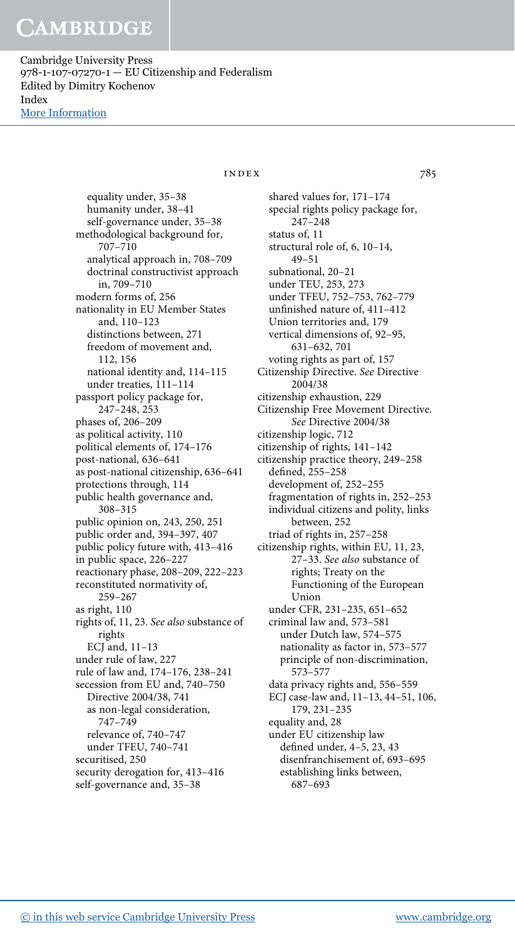Cambridge University Press 978-1-107-07270-1 — EU Citizenship and Federalism Edited by Dimitry Kochenov Index [More Information](www.cambridge.org/9781107072701)

> equality under, 35–38 humanity under, 38–41 self-governance under, 35–38 methodological background for, 707–710 analytical approach in, 708–709 doctrinal constructivist approach in, 709–710 modern forms of, 256 nationality in EU Member States and, 110–123 distinctions between, 271 freedom of movement and, 112, 156 national identity and, 114–115 under treaties, 111–114 passport policy package for, 247–248, 253 phases of, 206–209 as political activity, 110 political elements of, 174–176 post-national, 636–641 as post-national citizenship, 636–641 protections through, 114 public health governance and, 308–315 public opinion on, 243, 250, 251 public order and, 394–397, 407 public policy future with, 413–416 in public space, 226–227 reactionary phase, 208–209, 222–223 reconstituted normativity of, 259–267 as right, 110 rights of, 11, 23. See also substance of rights ECJ and, 11–13 under rule of law, 227 rule of law and, 174–176, 238–241 secession from EU and, 740–750 Directive 2004/38, 741 as non-legal consideration, 747–749 relevance of, 740–747 under TFEU, 740–741 securitised, 250 security derogation for, 413–416 self-governance and, 35–38

### index 785

shared values for, 171–174 special rights policy package for, 247–248 status of, 11 structural role of, 6, 10–14, 49–51 subnational, 20–21 under TEU, 253, 273 under TFEU, 752–753, 762–779 unfinished nature of, 411–412 Union territories and, 179 vertical dimensions of, 92–95, 631–632, 701 voting rights as part of, 157 Citizenship Directive. See Directive 2004/38 citizenship exhaustion, 229 Citizenship Free Movement Directive. See Directive 2004/38 citizenship logic, 712 citizenship of rights, 141–142 citizenship practice theory, 249–258 defined, 255–258 development of, 252–255 fragmentation of rights in, 252–253 individual citizens and polity, links between, 252 triad of rights in, 257–258 citizenship rights, within EU, 11, 23, 27–33. See also substance of rights; Treaty on the Functioning of the European Union under CFR, 231–235, 651–652 criminal law and, 573–581 under Dutch law, 574–575 nationality as factor in, 573–577 principle of non-discrimination, 573–577 data privacy rights and, 556–559 ECJ case-law and, 11–13, 44–51, 106, 179, 231–235 equality and, 28 under EU citizenship law defined under, 4–5, 23, 43 disenfranchisement of, 693–695 establishing links between, 687–693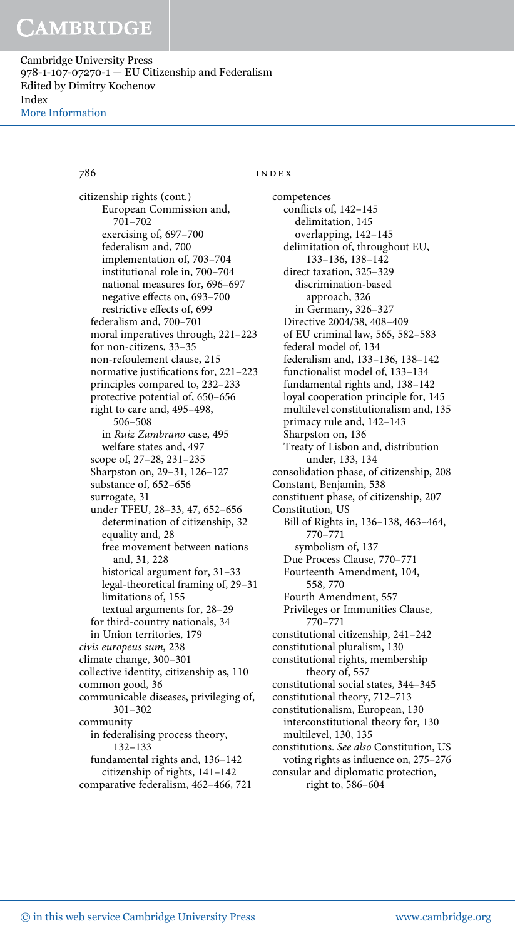Cambridge University Press 978-1-107-07270-1 — EU Citizenship and Federalism Edited by Dimitry Kochenov Index [More Information](www.cambridge.org/9781107072701)

citizenship rights (cont.) European Commission and, 701–702 exercising of, 697–700 federalism and, 700 implementation of, 703–704 institutional role in, 700–704 national measures for, 696–697 negative effects on, 693–700 restrictive effects of, 699 federalism and, 700–701 moral imperatives through, 221–223 for non-citizens, 33–35 non-refoulement clause, 215 normative justifications for, 221–223 principles compared to, 232–233 protective potential of, 650–656 right to care and, 495–498, 506–508 in Ruiz Zambrano case, 495 welfare states and, 497 scope of, 27–28, 231–235 Sharpston on, 29–31, 126–127 substance of, 652–656 surrogate, 31 under TFEU, 28–33, 47, 652–656 determination of citizenship, 32 equality and, 28 free movement between nations and, 31, 228 historical argument for, 31–33 legal-theoretical framing of, 29–31 limitations of, 155 textual arguments for, 28–29 for third-country nationals, 34 in Union territories, 179 civis europeus sum, 238 climate change, 300–301 collective identity, citizenship as, 110 common good, 36 communicable diseases, privileging of, 301–302 community in federalising process theory, 132–133 fundamental rights and, 136–142 citizenship of rights, 141–142 comparative federalism, 462–466, 721

### 786 **index**

competences conflicts of, 142–145 delimitation, 145 overlapping, 142–145 delimitation of, throughout EU, 133–136, 138–142 direct taxation, 325–329 discrimination-based approach, 326 in Germany, 326–327 Directive 2004/38, 408–409 of EU criminal law, 565, 582–583 federal model of, 134 federalism and, 133–136, 138–142 functionalist model of, 133–134 fundamental rights and, 138–142 loyal cooperation principle for, 145 multilevel constitutionalism and, 135 primacy rule and, 142–143 Sharpston on, 136 Treaty of Lisbon and, distribution under, 133, 134 consolidation phase, of citizenship, 208 Constant, Benjamin, 538 constituent phase, of citizenship, 207 Constitution, US Bill of Rights in, 136–138, 463–464, 770–771 symbolism of, 137 Due Process Clause, 770–771 Fourteenth Amendment, 104, 558, 770 Fourth Amendment, 557 Privileges or Immunities Clause, 770–771 constitutional citizenship, 241–242 constitutional pluralism, 130 constitutional rights, membership theory of, 557 constitutional social states, 344–345 constitutional theory, 712–713 constitutionalism, European, 130 interconstitutional theory for, 130 multilevel, 130, 135 constitutions. See also Constitution, US voting rights as influence on, 275–276 consular and diplomatic protection, right to, 586–604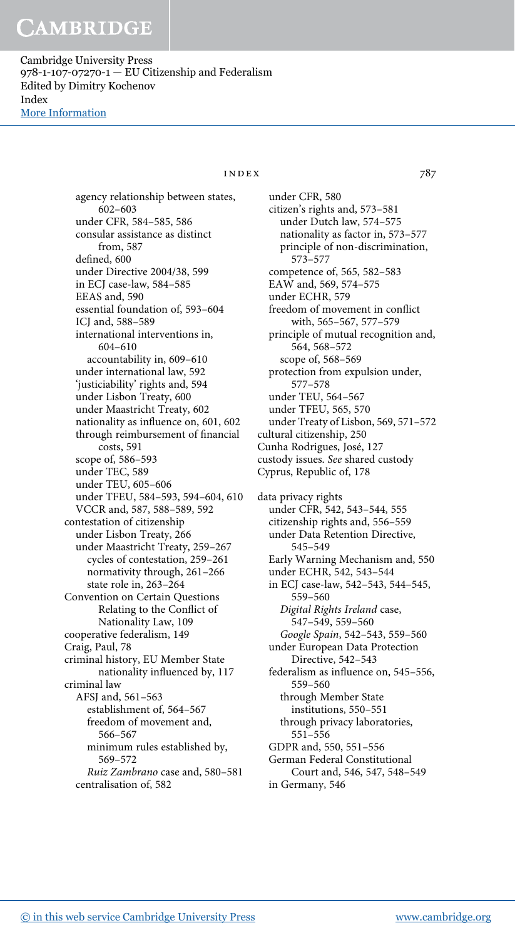Cambridge University Press 978-1-107-07270-1 — EU Citizenship and Federalism Edited by Dimitry Kochenov Index [More Information](www.cambridge.org/9781107072701)

> agency relationship between states, 602–603 under CFR, 584–585, 586 consular assistance as distinct from, 587 defined, 600 under Directive 2004/38, 599 in ECJ case-law, 584–585 EEAS and, 590 essential foundation of, 593–604 ICI and, 588-589 international interventions in, 604–610 accountability in, 609–610 under international law, 592 'justiciability' rights and, 594 under Lisbon Treaty, 600 under Maastricht Treaty, 602 nationality as influence on, 601, 602 through reimbursement of financial costs, 591 scope of, 586–593 under TEC, 589 under TEU, 605–606 under TFEU, 584–593, 594–604, 610 VCCR and, 587, 588–589, 592 contestation of citizenship under Lisbon Treaty, 266 under Maastricht Treaty, 259–267 cycles of contestation, 259–261 normativity through, 261–266 state role in, 263–264 Convention on Certain Questions Relating to the Conflict of Nationality Law, 109 cooperative federalism, 149 Craig, Paul, 78 criminal history, EU Member State nationality influenced by, 117 criminal law AFSJ and, 561–563 establishment of, 564–567 freedom of movement and, 566–567 minimum rules established by, 569–572 Ruiz Zambrano case and, 580–581 centralisation of, 582

### index 787

under CFR, 580 citizen's rights and, 573–581 under Dutch law, 574–575 nationality as factor in, 573–577 principle of non-discrimination, 573–577 competence of, 565, 582–583 EAW and, 569, 574–575 under ECHR, 579 freedom of movement in conflict with, 565–567, 577–579 principle of mutual recognition and, 564, 568–572 scope of, 568–569 protection from expulsion under, 577–578 under TEU, 564–567 under TFEU, 565, 570 under Treaty of Lisbon, 569, 571–572 cultural citizenship, 250 Cunha Rodrigues, José, 127 custody issues. See shared custody Cyprus, Republic of, 178 data privacy rights under CFR, 542, 543–544, 555 citizenship rights and, 556–559 under Data Retention Directive, 545–549 Early Warning Mechanism and, 550 under ECHR, 542, 543–544 in ECJ case-law, 542–543, 544–545, 559–560 Digital Rights Ireland case, 547–549, 559–560 Google Spain, 542–543, 559–560 under European Data Protection Directive, 542–543 federalism as influence on, 545–556, 559–560 through Member State institutions, 550–551 through privacy laboratories, 551–556 GDPR and, 550, 551–556 German Federal Constitutional Court and, 546, 547, 548–549 in Germany, 546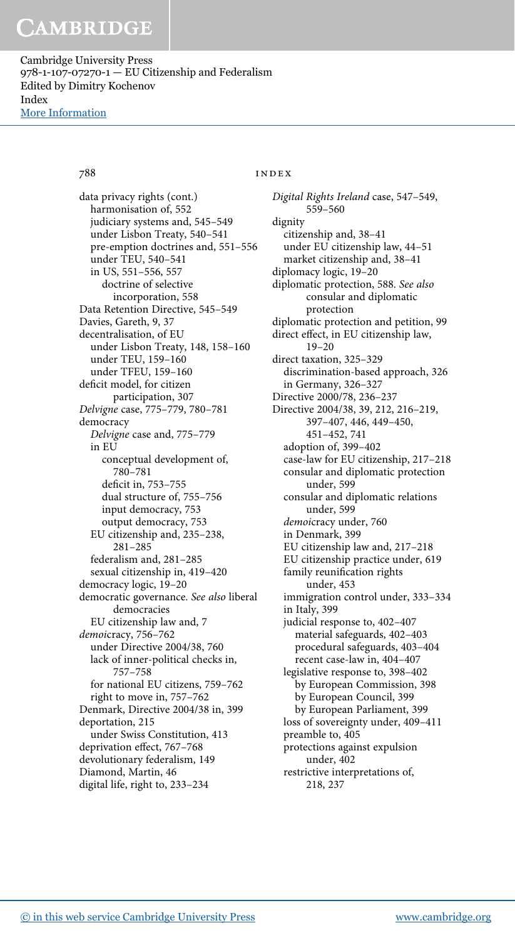Cambridge University Press 978-1-107-07270-1 — EU Citizenship and Federalism Edited by Dimitry Kochenov Index [More Information](www.cambridge.org/9781107072701)

data privacy rights (cont.) harmonisation of, 552 judiciary systems and, 545–549 under Lisbon Treaty, 540–541 pre-emption doctrines and, 551–556 under TEU, 540–541 in US, 551–556, 557 doctrine of selective incorporation, 558 Data Retention Directive, 545–549 Davies, Gareth, 9, 37 decentralisation, of EU under Lisbon Treaty, 148, 158–160 under TEU, 159–160 under TFEU, 159–160 deficit model, for citizen participation, 307 Delvigne case, 775–779, 780–781 democracy Delvigne case and, 775–779 in EU conceptual development of, 780–781 deficit in, 753–755 dual structure of, 755–756 input democracy, 753 output democracy, 753 EU citizenship and, 235–238, 281–285 federalism and, 281–285 sexual citizenship in, 419–420 democracy logic, 19–20 democratic governance. See also liberal democracies EU citizenship law and, 7 demoicracy, 756–762 under Directive 2004/38, 760 lack of inner-political checks in, 757–758 for national EU citizens, 759–762 right to move in, 757–762 Denmark, Directive 2004/38 in, 399 deportation, 215 under Swiss Constitution, 413 deprivation effect, 767–768 devolutionary federalism, 149 Diamond, Martin, 46 digital life, right to, 233–234

### 788 index

Digital Rights Ireland case, 547–549, 559–560 dignity citizenship and, 38–41 under EU citizenship law, 44–51 market citizenship and, 38–41 diplomacy logic, 19–20 diplomatic protection, 588. See also consular and diplomatic protection diplomatic protection and petition, 99 direct effect, in EU citizenship law, 19–20 direct taxation, 325–329 discrimination-based approach, 326 in Germany, 326–327 Directive 2000/78, 236–237 Directive 2004/38, 39, 212, 216–219, 397–407, 446, 449–450, 451–452, 741 adoption of, 399–402 case-law for EU citizenship, 217–218 consular and diplomatic protection under, 599 consular and diplomatic relations under, 599 demoicracy under, 760 in Denmark, 399 EU citizenship law and, 217–218 EU citizenship practice under, 619 family reunification rights under, 453 immigration control under, 333–334 in Italy, 399 judicial response to, 402–407 material safeguards, 402–403 procedural safeguards, 403–404 recent case-law in, 404–407 legislative response to, 398–402 by European Commission, 398 by European Council, 399 by European Parliament, 399 loss of sovereignty under, 409–411 preamble to, 405 protections against expulsion under, 402 restrictive interpretations of, 218, 237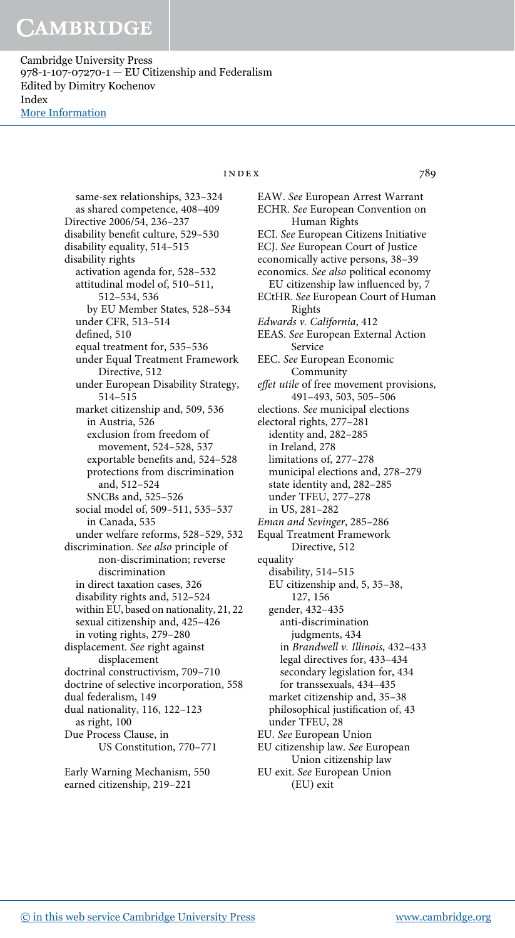Cambridge University Press 978-1-107-07270-1 — EU Citizenship and Federalism Edited by Dimitry Kochenov Index [More Information](www.cambridge.org/9781107072701)

### index 789

same-sex relationships, 323–324 as shared competence, 408–409 Directive 2006/54, 236–237 disability benefit culture, 529–530 disability equality, 514–515 disability rights activation agenda for, 528–532 attitudinal model of, 510–511, 512–534, 536 by EU Member States, 528–534 under CFR, 513–514 defined, 510 equal treatment for, 535–536 under Equal Treatment Framework Directive, 512 under European Disability Strategy, 514–515 market citizenship and, 509, 536 in Austria, 526 exclusion from freedom of movement, 524–528, 537 exportable benefits and, 524–528 protections from discrimination and, 512–524 SNCBs and, 525–526 social model of, 509–511, 535–537 in Canada, 535 under welfare reforms, 528–529, 532 discrimination. See also principle of non-discrimination; reverse discrimination in direct taxation cases, 326 disability rights and, 512–524 within EU, based on nationality, 21, 22 sexual citizenship and, 425–426 in voting rights, 279–280 displacement. See right against displacement doctrinal constructivism, 709–710 doctrine of selective incorporation, 558 dual federalism, 149 dual nationality, 116, 122–123 as right, 100 Due Process Clause, in US Constitution, 770–771

Early Warning Mechanism, 550 earned citizenship, 219–221

economics. See also political economy EU citizenship law influenced by, 7 ECtHR. See European Court of Human Rights Edwards v. California, 412 EEAS. See European External Action Service EEC. See European Economic Community effet utile of free movement provisions, 491–493, 503, 505–506 elections. See municipal elections electoral rights, 277–281 identity and, 282–285 in Ireland, 278 limitations of, 277–278 municipal elections and, 278–279 state identity and, 282–285 under TFEU, 277–278 in US, 281–282 Eman and Sevinger, 285–286 Equal Treatment Framework Directive, 512 equality disability, 514–515 EU citizenship and, 5, 35–38, 127, 156

EAW. See European Arrest Warrant ECHR. See European Convention on Human Rights ECI. See European Citizens Initiative ECJ. See European Court of Justice economically active persons, 38–39

gender, 432–435 anti-discrimination judgments, 434 in Brandwell v. Illinois, 432–433 legal directives for, 433–434 secondary legislation for, 434 for transsexuals, 434–435 market citizenship and, 35–38 philosophical justification of, 43 under TFEU, 28 EU. See European Union EU citizenship law. See European Union citizenship law EU exit. See European Union (EU) exit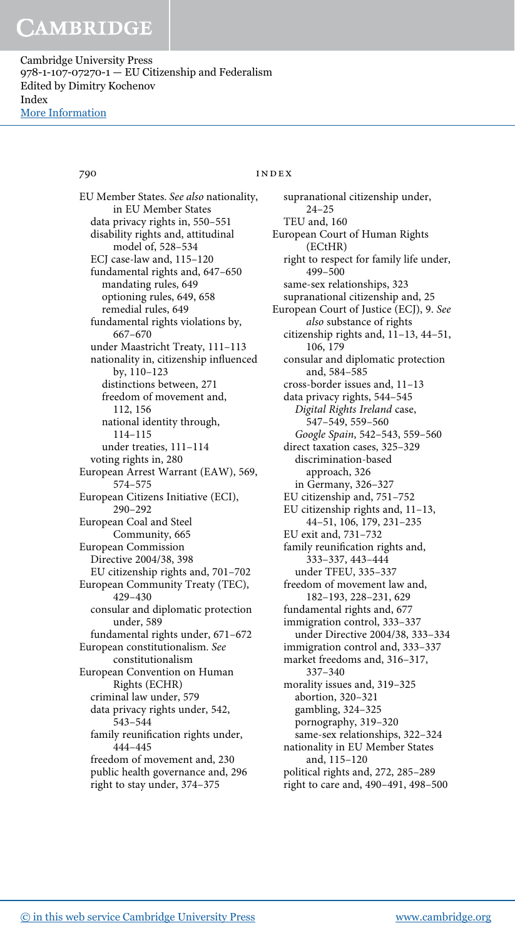Cambridge University Press 978-1-107-07270-1 — EU Citizenship and Federalism Edited by Dimitry Kochenov Index [More Information](www.cambridge.org/9781107072701)

EU Member States. See also nationality, in EU Member States data privacy rights in, 550–551 disability rights and, attitudinal model of, 528–534 ECJ case-law and, 115–120 fundamental rights and, 647–650 mandating rules, 649 optioning rules, 649, 658 remedial rules, 649 fundamental rights violations by, 667–670 under Maastricht Treaty, 111–113 nationality in, citizenship influenced by, 110–123 distinctions between, 271 freedom of movement and, 112, 156 national identity through, 114–115 under treaties, 111–114 voting rights in, 280 European Arrest Warrant (EAW), 569, 574–575 European Citizens Initiative (ECI), 290–292 European Coal and Steel Community, 665 European Commission Directive 2004/38, 398 EU citizenship rights and, 701–702 European Community Treaty (TEC), 429–430 consular and diplomatic protection under, 589 fundamental rights under, 671–672 European constitutionalism. See constitutionalism European Convention on Human Rights (ECHR) criminal law under, 579 data privacy rights under, 542, 543–544 family reunification rights under, 444–445 freedom of movement and, 230 public health governance and, 296 right to stay under, 374–375

### 790 **index**

supranational citizenship under, 24–25 TEU and, 160 European Court of Human Rights (ECtHR) right to respect for family life under, 499–500 same-sex relationships, 323 supranational citizenship and, 25 European Court of Justice (ECJ), 9. See also substance of rights citizenship rights and, 11–13, 44–51, 106, 179 consular and diplomatic protection and, 584–585 cross-border issues and, 11–13 data privacy rights, 544–545 Digital Rights Ireland case, 547–549, 559–560 Google Spain, 542–543, 559–560 direct taxation cases, 325–329 discrimination-based approach, 326 in Germany, 326–327 EU citizenship and, 751–752 EU citizenship rights and, 11–13, 44–51, 106, 179, 231–235 EU exit and, 731–732 family reunification rights and, 333–337, 443–444 under TFEU, 335–337 freedom of movement law and, 182–193, 228–231, 629 fundamental rights and, 677 immigration control, 333–337 under Directive 2004/38, 333–334 immigration control and, 333–337 market freedoms and, 316–317, 337–340 morality issues and, 319–325 abortion, 320–321 gambling, 324–325 pornography, 319–320 same-sex relationships, 322–324 nationality in EU Member States and, 115–120 political rights and, 272, 285–289 right to care and, 490–491, 498–500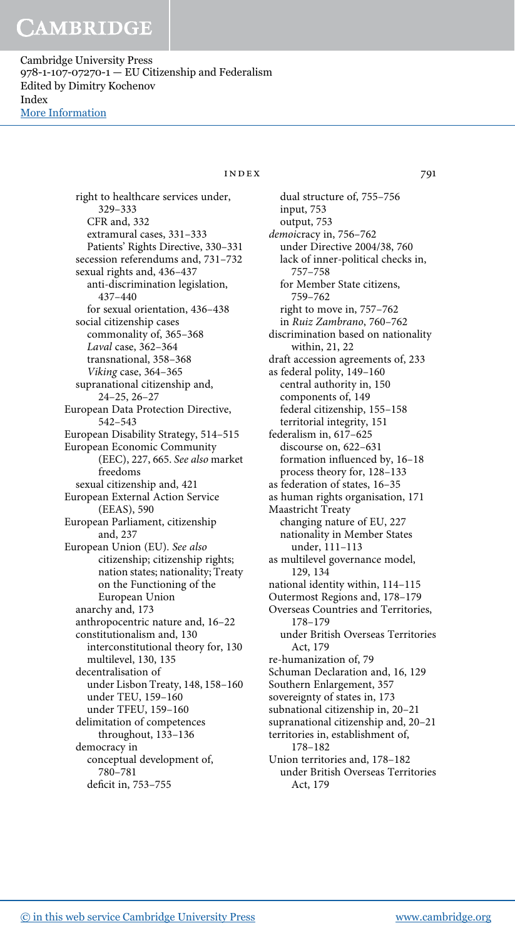Cambridge University Press 978-1-107-07270-1 — EU Citizenship and Federalism Edited by Dimitry Kochenov Index [More Information](www.cambridge.org/9781107072701)

> right to healthcare services under, 329–333 CFR and, 332 extramural cases, 331–333 Patients' Rights Directive, 330–331 secession referendums and, 731–732 sexual rights and, 436–437 anti-discrimination legislation, 437–440 for sexual orientation, 436–438 social citizenship cases commonality of, 365–368 Laval case, 362–364 transnational, 358–368 Viking case, 364–365 supranational citizenship and, 24–25, 26–27 European Data Protection Directive, 542–543 European Disability Strategy, 514–515 European Economic Community (EEC), 227, 665. See also market freedoms sexual citizenship and, 421 European External Action Service (EEAS), 590 European Parliament, citizenship and, 237 European Union (EU). See also citizenship; citizenship rights; nation states; nationality; Treaty on the Functioning of the European Union anarchy and, 173 anthropocentric nature and, 16–22 constitutionalism and, 130 interconstitutional theory for, 130 multilevel, 130, 135 decentralisation of under Lisbon Treaty, 148, 158–160 under TEU, 159–160 under TFEU, 159–160 delimitation of competences throughout, 133–136 democracy in conceptual development of, 780–781 deficit in, 753–755

### index 791

dual structure of, 755–756 input, 753 output, 753 demoicracy in, 756–762 under Directive 2004/38, 760 lack of inner-political checks in, 757–758 for Member State citizens, 759–762 right to move in, 757–762 in Ruiz Zambrano, 760–762 discrimination based on nationality within, 21, 22 draft accession agreements of, 233 as federal polity, 149–160 central authority in, 150 components of, 149 federal citizenship, 155–158 territorial integrity, 151 federalism in, 617–625 discourse on, 622–631 formation influenced by, 16–18 process theory for, 128–133 as federation of states, 16–35 as human rights organisation, 171 Maastricht Treaty changing nature of EU, 227 nationality in Member States under, 111–113 as multilevel governance model, 129, 134 national identity within, 114–115 Outermost Regions and, 178–179 Overseas Countries and Territories, 178–179 under British Overseas Territories Act, 179 re-humanization of, 79 Schuman Declaration and, 16, 129 Southern Enlargement, 357 sovereignty of states in, 173 subnational citizenship in, 20–21 supranational citizenship and, 20–21 territories in, establishment of, 178–182 Union territories and, 178–182 under British Overseas Territories Act, 179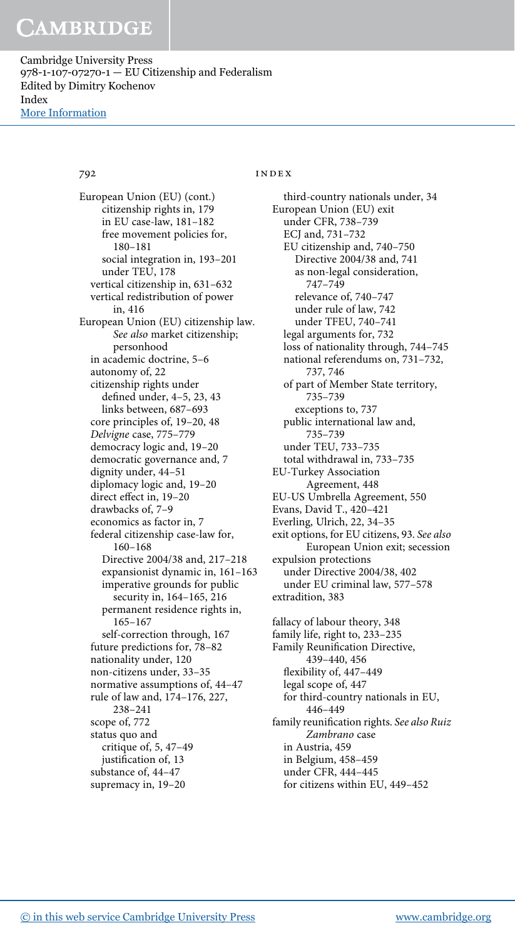Cambridge University Press 978-1-107-07270-1 — EU Citizenship and Federalism Edited by Dimitry Kochenov Index [More Information](www.cambridge.org/9781107072701)

European Union (EU) (cont.) citizenship rights in, 179 in EU case-law, 181–182 free movement policies for, 180–181 social integration in, 193–201 under TEU, 178 vertical citizenship in, 631–632 vertical redistribution of power in, 416 European Union (EU) citizenship law. See also market citizenship; personhood in academic doctrine, 5–6 autonomy of, 22 citizenship rights under defined under, 4–5, 23, 43 links between, 687–693 core principles of, 19–20, 48 Delvigne case, 775–779 democracy logic and, 19–20 democratic governance and, 7 dignity under, 44–51 diplomacy logic and, 19–20 direct effect in, 19–20 drawbacks of, 7–9 economics as factor in, 7 federal citizenship case-law for, 160–168 Directive 2004/38 and, 217–218 expansionist dynamic in, 161–163 imperative grounds for public security in, 164–165, 216 permanent residence rights in, 165–167 self-correction through, 167 future predictions for, 78–82 nationality under, 120 non-citizens under, 33–35 normative assumptions of, 44–47 rule of law and, 174–176, 227, 238–241 scope of, 772 status quo and critique of, 5, 47–49 justification of, 13 substance of, 44–47 supremacy in, 19–20

### 792 **index**

third-country nationals under, 34 European Union (EU) exit under CFR, 738–739 ECJ and, 731–732 EU citizenship and, 740–750 Directive 2004/38 and, 741 as non-legal consideration, 747–749 relevance of, 740–747 under rule of law, 742 under TFEU, 740–741 legal arguments for, 732 loss of nationality through, 744–745 national referendums on, 731–732, 737, 746 of part of Member State territory, 735–739 exceptions to, 737 public international law and, 735–739 under TEU, 733–735 total withdrawal in, 733–735 EU-Turkey Association Agreement, 448 EU-US Umbrella Agreement, 550 Evans, David T., 420–421 Everling, Ulrich, 22, 34–35 exit options, for EU citizens, 93. See also European Union exit; secession expulsion protections under Directive 2004/38, 402 under EU criminal law, 577–578 extradition, 383 fallacy of labour theory, 348 family life, right to, 233–235 Family Reunification Directive, 439–440, 456 flexibility of, 447–449 legal scope of, 447 for third-country nationals in EU, 446–449 family reunification rights. See also Ruiz Zambrano case in Austria, 459 in Belgium, 458–459 under CFR, 444–445 for citizens within EU, 449–452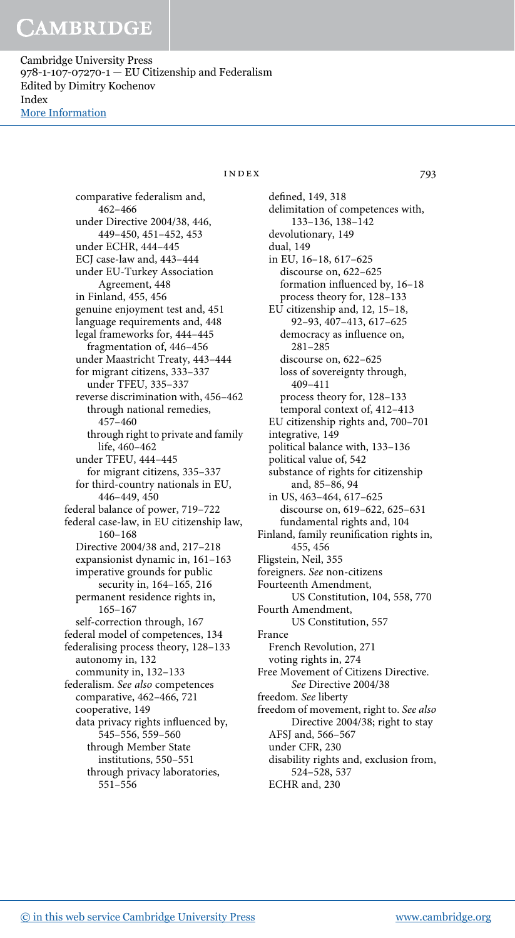Cambridge University Press 978-1-107-07270-1 — EU Citizenship and Federalism Edited by Dimitry Kochenov Index [More Information](www.cambridge.org/9781107072701)

index 793

comparative federalism and, 462–466 under Directive 2004/38, 446, 449–450, 451–452, 453 under ECHR, 444–445 ECJ case-law and, 443–444 under EU-Turkey Association Agreement, 448 in Finland, 455, 456 genuine enjoyment test and, 451 language requirements and, 448 legal frameworks for, 444–445 fragmentation of, 446–456 under Maastricht Treaty, 443–444 for migrant citizens, 333–337 under TFEU, 335–337 reverse discrimination with, 456–462 through national remedies, 457–460 through right to private and family life, 460–462 under TFEU, 444–445 for migrant citizens, 335–337 for third-country nationals in EU, 446–449, 450 federal balance of power, 719–722 federal case-law, in EU citizenship law, 160–168 Directive 2004/38 and, 217–218 expansionist dynamic in, 161–163 imperative grounds for public security in, 164–165, 216 permanent residence rights in, 165–167 self-correction through, 167 federal model of competences, 134 federalising process theory, 128–133 autonomy in, 132 community in, 132–133 federalism. See also competences comparative, 462–466, 721 cooperative, 149 data privacy rights influenced by, 545–556, 559–560 through Member State institutions, 550–551 through privacy laboratories, 551–556

defined, 149, 318 delimitation of competences with, 133–136, 138–142 devolutionary, 149 dual, 149 in EU, 16–18, 617–625 discourse on, 622–625 formation influenced by, 16–18 process theory for, 128–133 EU citizenship and, 12, 15–18, 92–93, 407–413, 617–625 democracy as influence on, 281–285 discourse on, 622–625 loss of sovereignty through, 409–411 process theory for, 128–133 temporal context of, 412–413 EU citizenship rights and, 700–701 integrative, 149 political balance with, 133–136 political value of, 542 substance of rights for citizenship and, 85–86, 94 in US, 463–464, 617–625 discourse on, 619–622, 625–631 fundamental rights and, 104 Finland, family reunification rights in, 455, 456 Fligstein, Neil, 355 foreigners. See non-citizens Fourteenth Amendment, US Constitution, 104, 558, 770 Fourth Amendment, US Constitution, 557 France French Revolution, 271 voting rights in, 274 Free Movement of Citizens Directive. See Directive 2004/38 freedom. See liberty freedom of movement, right to. See also Directive 2004/38; right to stay AFSJ and, 566–567 under CFR, 230 disability rights and, exclusion from, 524–528, 537 ECHR and, 230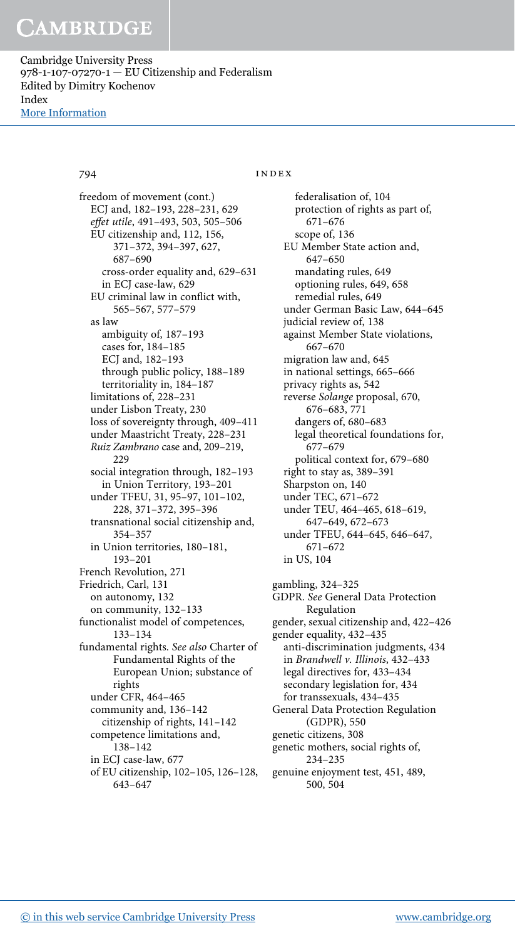Cambridge University Press 978-1-107-07270-1 — EU Citizenship and Federalism Edited by Dimitry Kochenov Index [More Information](www.cambridge.org/9781107072701)

freedom of movement (cont.) ECJ and, 182–193, 228–231, 629 effet utile, 491–493, 503, 505–506 EU citizenship and, 112, 156, 371–372, 394–397, 627, 687–690 cross-order equality and, 629–631 in ECJ case-law, 629 EU criminal law in conflict with, 565–567, 577–579 as law ambiguity of, 187–193 cases for, 184–185 ECJ and, 182–193 through public policy, 188–189 territoriality in, 184–187 limitations of, 228–231 under Lisbon Treaty, 230 loss of sovereignty through, 409–411 under Maastricht Treaty, 228–231 Ruiz Zambrano case and, 209–219, 229 social integration through, 182–193 in Union Territory, 193–201 under TFEU, 31, 95–97, 101–102, 228, 371–372, 395–396 transnational social citizenship and, 354–357 in Union territories, 180–181, 193–201 French Revolution, 271 Friedrich, Carl, 131 on autonomy, 132 on community, 132–133 functionalist model of competences, 133–134 fundamental rights. See also Charter of Fundamental Rights of the European Union; substance of rights under CFR, 464–465 community and, 136–142 citizenship of rights, 141–142 competence limitations and, 138–142 in ECJ case-law, 677 of EU citizenship, 102–105, 126–128,

### 643–647

### 794 INDEX

federalisation of, 104 protection of rights as part of, 671–676 scope of, 136 EU Member State action and, 647–650 mandating rules, 649 optioning rules, 649, 658 remedial rules, 649 under German Basic Law, 644–645 judicial review of, 138 against Member State violations, 667–670 migration law and, 645 in national settings, 665–666 privacy rights as, 542 reverse Solange proposal, 670, 676–683, 771 dangers of, 680–683 legal theoretical foundations for, 677–679 political context for, 679–680 right to stay as, 389–391 Sharpston on, 140 under TEC, 671–672 under TEU, 464–465, 618–619, 647–649, 672–673 under TFEU, 644–645, 646–647, 671–672 in US, 104 gambling, 324–325

GDPR. See General Data Protection Regulation gender, sexual citizenship and, 422–426 gender equality, 432–435 anti-discrimination judgments, 434 in Brandwell v. Illinois, 432–433 legal directives for, 433–434 secondary legislation for, 434 for transsexuals, 434–435 General Data Protection Regulation (GDPR), 550 genetic citizens, 308 genetic mothers, social rights of, 234–235 genuine enjoyment test, 451, 489, 500, 504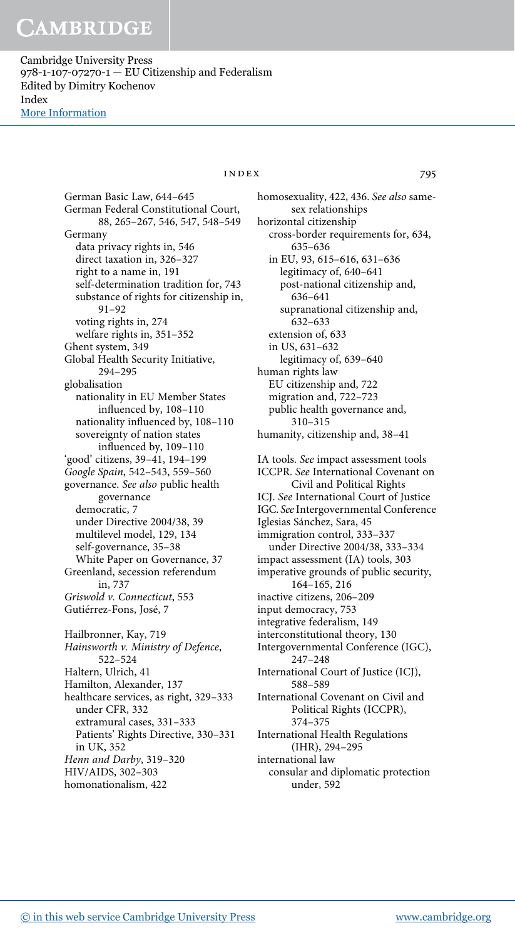Cambridge University Press 978-1-107-07270-1 — EU Citizenship and Federalism Edited by Dimitry Kochenov Index [More Information](www.cambridge.org/9781107072701)

### index 795

German Basic Law, 644–645 German Federal Constitutional Court, 88, 265–267, 546, 547, 548–549 Germany data privacy rights in, 546 direct taxation in, 326–327 right to a name in, 191 self-determination tradition for, 743 substance of rights for citizenship in, 91–92 voting rights in, 274 welfare rights in, 351–352 Ghent system, 349 Global Health Security Initiative, 294–295 globalisation nationality in EU Member States influenced by, 108–110 nationality influenced by, 108–110 sovereignty of nation states influenced by, 109–110 'good' citizens, 39–41, 194–199 Google Spain, 542–543, 559–560 governance. See also public health governance democratic, 7 under Directive 2004/38, 39 multilevel model, 129, 134 self-governance, 35–38 White Paper on Governance, 37 Greenland, secession referendum in, 737 Griswold v. Connecticut, 553 Gutiérrez-Fons, José, 7 Hailbronner, Kay, 719 Hainsworth v. Ministry of Defence, 522–524 Haltern, Ulrich, 41 Hamilton, Alexander, 137 healthcare services, as right, 329–333 under CFR, 332 extramural cases, 331–333 Patients' Rights Directive, 330–331 in UK, 352 Henn and Darby, 319–320 HIV/AIDS, 302–303

homonationalism, 422

homosexuality, 422, 436. See also samesex relationships horizontal citizenship cross-border requirements for, 634, 635–636 in EU, 93, 615–616, 631–636 legitimacy of, 640–641 post-national citizenship and, 636–641 supranational citizenship and, 632–633 extension of, 633 in US, 631–632 legitimacy of, 639–640 human rights law EU citizenship and, 722 migration and, 722–723 public health governance and, 310–315 humanity, citizenship and, 38–41

IA tools. See impact assessment tools ICCPR. See International Covenant on Civil and Political Rights ICJ. See International Court of Justice IGC. See Intergovernmental Conference Iglesias Sánchez, Sara, 45 immigration control, 333–337 under Directive 2004/38, 333–334 impact assessment (IA) tools, 303 imperative grounds of public security, 164–165, 216 inactive citizens, 206–209 input democracy, 753 integrative federalism, 149 interconstitutional theory, 130 Intergovernmental Conference (IGC), 247–248 International Court of Justice (ICJ), 588–589 International Covenant on Civil and Political Rights (ICCPR), 374–375 International Health Regulations (IHR), 294–295 international law consular and diplomatic protection under, 592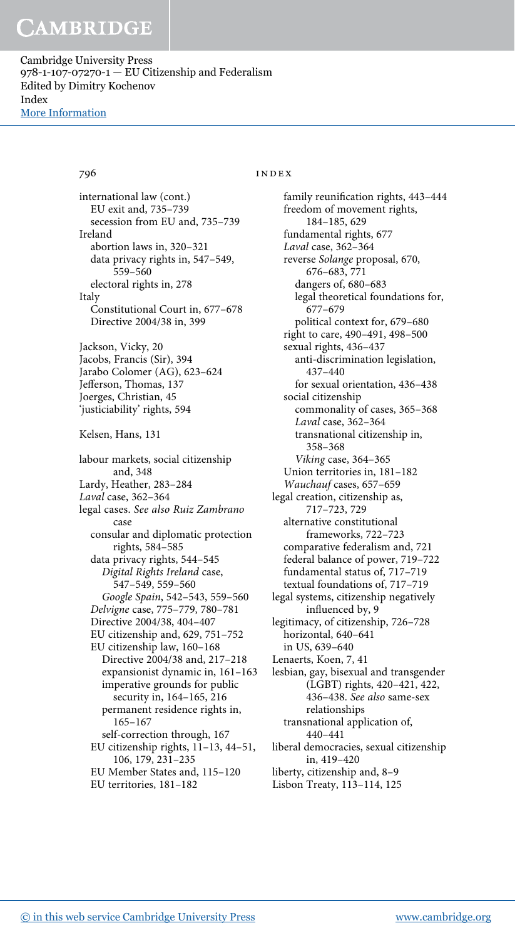Cambridge University Press 978-1-107-07270-1 — EU Citizenship and Federalism Edited by Dimitry Kochenov Index [More Information](www.cambridge.org/9781107072701)

international law (cont.) EU exit and, 735–739 secession from EU and, 735–739 Ireland abortion laws in, 320–321 data privacy rights in, 547–549, 559–560 electoral rights in, 278 Italy Constitutional Court in, 677–678 Directive 2004/38 in, 399 Jackson, Vicky, 20 Jacobs, Francis (Sir), 394 Jarabo Colomer (AG), 623–624 Jefferson, Thomas, 137 Joerges, Christian, 45 'justiciability' rights, 594 Kelsen, Hans, 131 labour markets, social citizenship and, 348 Lardy, Heather, 283–284 Laval case, 362–364 legal cases. See also Ruiz Zambrano case consular and diplomatic protection rights, 584–585 data privacy rights, 544–545 Digital Rights Ireland case, 547–549, 559–560 Google Spain, 542–543, 559–560 Delvigne case, 775–779, 780–781 Directive 2004/38, 404–407 EU citizenship and, 629, 751–752 EU citizenship law, 160–168 Directive 2004/38 and, 217–218 expansionist dynamic in, 161–163 imperative grounds for public security in, 164–165, 216 permanent residence rights in, 165–167 self-correction through, 167 EU citizenship rights, 11–13, 44–51, 106, 179, 231–235 EU Member States and, 115–120 EU territories, 181–182

### 796 **index**

family reunification rights, 443–444 freedom of movement rights, 184–185, 629 fundamental rights, 677 Laval case, 362–364 reverse Solange proposal, 670, 676–683, 771 dangers of, 680–683 legal theoretical foundations for, 677–679 political context for, 679–680 right to care, 490–491, 498–500 sexual rights, 436–437 anti-discrimination legislation, 437–440 for sexual orientation, 436–438 social citizenship commonality of cases, 365–368 Laval case, 362–364 transnational citizenship in, 358–368 Viking case, 364–365 Union territories in, 181–182 Wauchauf cases, 657–659 legal creation, citizenship as, 717–723, 729 alternative constitutional frameworks, 722–723 comparative federalism and, 721 federal balance of power, 719–722 fundamental status of, 717–719 textual foundations of, 717–719 legal systems, citizenship negatively influenced by, 9 legitimacy, of citizenship, 726–728 horizontal, 640–641 in US, 639–640 Lenaerts, Koen, 7, 41 lesbian, gay, bisexual and transgender (LGBT) rights, 420–421, 422, 436–438. See also same-sex relationships transnational application of, 440–441 liberal democracies, sexual citizenship in, 419–420 liberty, citizenship and, 8–9 Lisbon Treaty, 113–114, 125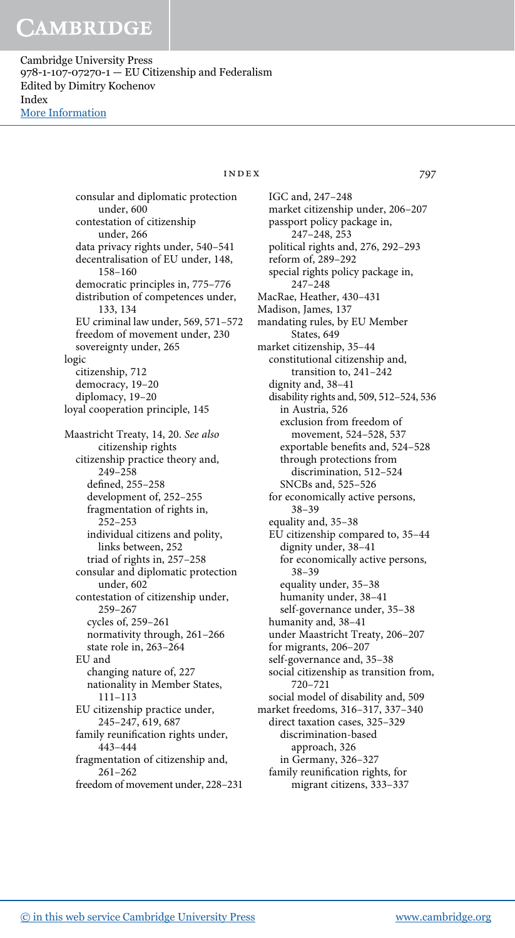Cambridge University Press 978-1-107-07270-1 — EU Citizenship and Federalism Edited by Dimitry Kochenov Index [More Information](www.cambridge.org/9781107072701)

> consular and diplomatic protection under, 600 contestation of citizenship under, 266 data privacy rights under, 540–541 decentralisation of EU under, 148, 158–160 democratic principles in, 775–776 distribution of competences under, 133, 134 EU criminal law under, 569, 571–572 freedom of movement under, 230 sovereignty under, 265 logic citizenship, 712 democracy, 19–20 diplomacy, 19–20 loyal cooperation principle, 145 Maastricht Treaty, 14, 20. See also citizenship rights citizenship practice theory and, 249–258 defined, 255–258 development of, 252–255 fragmentation of rights in, 252–253 individual citizens and polity, links between, 252 triad of rights in, 257–258 consular and diplomatic protection under, 602 contestation of citizenship under, 259–267 cycles of, 259–261 normativity through, 261–266 state role in, 263–264 EU and changing nature of, 227 nationality in Member States, 111–113 EU citizenship practice under, 245–247, 619, 687 family reunification rights under, 443–444 fragmentation of citizenship and, 261–262 freedom of movement under, 228–231

### index 797

IGC and, 247–248 market citizenship under, 206–207 passport policy package in, 247–248, 253 political rights and, 276, 292–293 reform of, 289–292 special rights policy package in, 247–248 MacRae, Heather, 430–431 Madison, James, 137 mandating rules, by EU Member States, 649 market citizenship, 35–44 constitutional citizenship and, transition to, 241–242 dignity and, 38–41 disability rights and, 509, 512–524, 536 in Austria, 526 exclusion from freedom of movement, 524–528, 537 exportable benefits and, 524–528 through protections from discrimination, 512–524 SNCBs and, 525–526 for economically active persons, 38–39 equality and, 35–38 EU citizenship compared to, 35–44 dignity under, 38–41 for economically active persons, 38–39 equality under, 35–38 humanity under, 38–41 self-governance under, 35–38 humanity and, 38–41 under Maastricht Treaty, 206–207 for migrants, 206–207 self-governance and, 35–38 social citizenship as transition from, 720–721 social model of disability and, 509 market freedoms, 316–317, 337–340 direct taxation cases, 325–329 discrimination-based approach, 326 in Germany, 326–327 family reunification rights, for migrant citizens, 333–337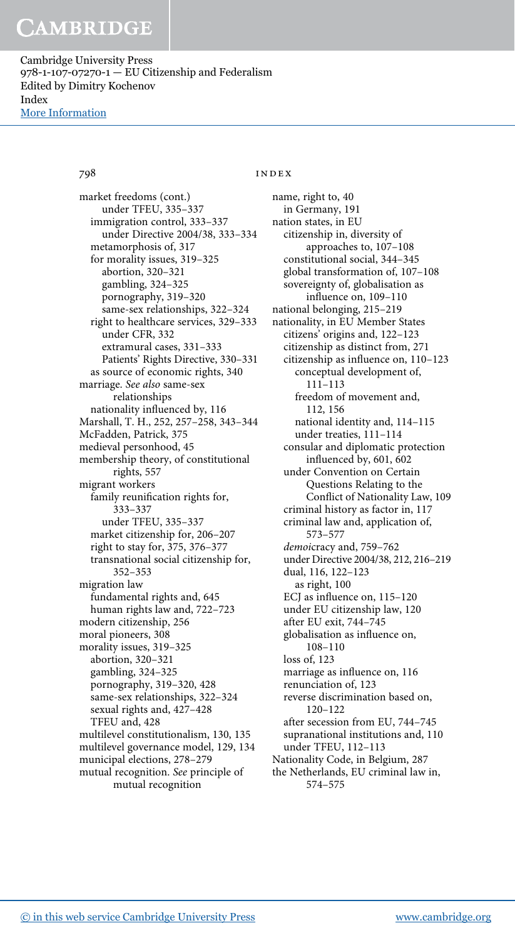Cambridge University Press 978-1-107-07270-1 — EU Citizenship and Federalism Edited by Dimitry Kochenov Index [More Information](www.cambridge.org/9781107072701)

market freedoms (cont.) under TFEU, 335–337 immigration control, 333–337 under Directive 2004/38, 333–334 metamorphosis of, 317 for morality issues, 319–325 abortion, 320–321 gambling, 324–325 pornography, 319–320 same-sex relationships, 322–324 right to healthcare services, 329–333 under CFR, 332 extramural cases, 331–333 Patients' Rights Directive, 330–331 as source of economic rights, 340 marriage. See also same-sex relationships nationality influenced by, 116 Marshall, T. H., 252, 257–258, 343–344 McFadden, Patrick, 375 medieval personhood, 45 membership theory, of constitutional rights, 557 migrant workers family reunification rights for, 333–337 under TFEU, 335–337 market citizenship for, 206–207 right to stay for, 375, 376–377 transnational social citizenship for, 352–353 migration law fundamental rights and, 645 human rights law and, 722–723 modern citizenship, 256 moral pioneers, 308 morality issues, 319–325 abortion, 320–321 gambling, 324–325 pornography, 319–320, 428 same-sex relationships, 322–324 sexual rights and, 427–428 TFEU and, 428 multilevel constitutionalism, 130, 135 multilevel governance model, 129, 134 municipal elections, 278–279 mutual recognition. See principle of mutual recognition

### 798 **index**

name, right to, 40 in Germany, 191 nation states, in EU citizenship in, diversity of approaches to, 107–108 constitutional social, 344–345 global transformation of, 107–108 sovereignty of, globalisation as influence on, 109–110 national belonging, 215–219 nationality, in EU Member States citizens' origins and, 122–123 citizenship as distinct from, 271 citizenship as influence on, 110–123 conceptual development of, 111–113 freedom of movement and, 112, 156 national identity and, 114–115 under treaties, 111–114 consular and diplomatic protection influenced by, 601, 602 under Convention on Certain Questions Relating to the Conflict of Nationality Law, 109 criminal history as factor in, 117 criminal law and, application of, 573–577 demoicracy and, 759–762 under Directive 2004/38, 212, 216–219 dual, 116, 122–123 as right, 100 ECJ as influence on, 115–120 under EU citizenship law, 120 after EU exit, 744–745 globalisation as influence on, 108–110 loss of, 123 marriage as influence on, 116 renunciation of, 123 reverse discrimination based on, 120–122 after secession from EU, 744–745 supranational institutions and, 110 under TFEU, 112–113 Nationality Code, in Belgium, 287 the Netherlands, EU criminal law in, 574–575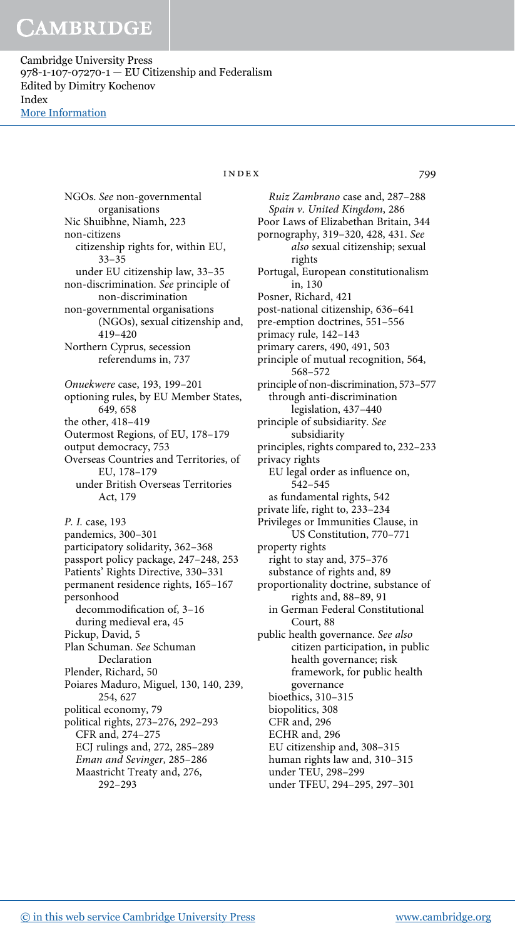Cambridge University Press 978-1-107-07270-1 — EU Citizenship and Federalism Edited by Dimitry Kochenov Index [More Information](www.cambridge.org/9781107072701)

### index 799

NGOs. See non-governmental organisations Nic Shuibhne, Niamh, 223 non-citizens citizenship rights for, within EU, 33–35 under EU citizenship law, 33–35 non-discrimination. See principle of non-discrimination non-governmental organisations (NGOs), sexual citizenship and, 419–420 Northern Cyprus, secession referendums in, 737 Onuekwere case, 193, 199–201 optioning rules, by EU Member States, 649, 658 the other, 418–419 Outermost Regions, of EU, 178–179 output democracy, 753 Overseas Countries and Territories, of EU, 178–179 under British Overseas Territories Act, 179 P. I. case, 193 pandemics, 300–301 participatory solidarity, 362–368 passport policy package, 247–248, 253 Patients' Rights Directive, 330–331 permanent residence rights, 165–167 personhood decommodification of, 3–16 during medieval era, 45 Pickup, David, 5 Plan Schuman. See Schuman Declaration Plender, Richard, 50 Poiares Maduro, Miguel, 130, 140, 239, 254, 627 political economy, 79 political rights, 273–276, 292–293 CFR and, 274–275 ECJ rulings and, 272, 285–289 Eman and Sevinger, 285–286 Maastricht Treaty and, 276, 292–293

Ruiz Zambrano case and, 287–288 Spain v. United Kingdom, 286 Poor Laws of Elizabethan Britain, 344 pornography, 319–320, 428, 431. See also sexual citizenship; sexual rights Portugal, European constitutionalism in, 130 Posner, Richard, 421 post-national citizenship, 636–641 pre-emption doctrines, 551–556 primacy rule, 142–143 primary carers, 490, 491, 503 principle of mutual recognition, 564, 568–572 principle of non-discrimination, 573–577 through anti-discrimination legislation, 437–440 principle of subsidiarity. See subsidiarity principles, rights compared to, 232–233 privacy rights EU legal order as influence on, 542–545 as fundamental rights, 542 private life, right to, 233–234 Privileges or Immunities Clause, in US Constitution, 770–771 property rights right to stay and, 375–376 substance of rights and, 89 proportionality doctrine, substance of rights and, 88–89, 91 in German Federal Constitutional Court, 88 public health governance. See also citizen participation, in public health governance; risk framework, for public health governance bioethics, 310–315 biopolitics, 308 CFR and, 296 ECHR and, 296 EU citizenship and, 308–315 human rights law and, 310–315 under TEU, 298–299 under TFEU, 294–295, 297–301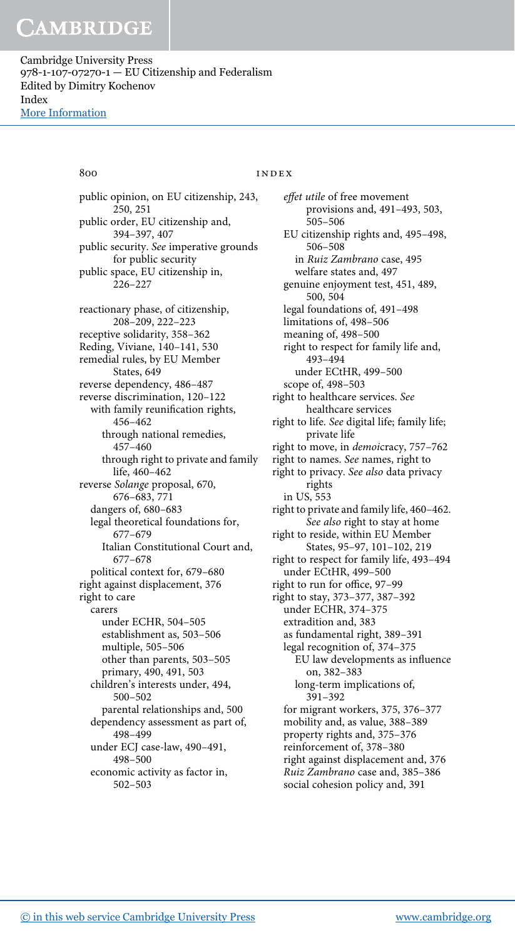Cambridge University Press 978-1-107-07270-1 — EU Citizenship and Federalism Edited by Dimitry Kochenov Index [More Information](www.cambridge.org/9781107072701)

public opinion, on EU citizenship, 243, 250, 251 public order, EU citizenship and, 394–397, 407 public security. See imperative grounds for public security public space, EU citizenship in, 226–227 reactionary phase, of citizenship, 208–209, 222–223 receptive solidarity, 358–362 Reding, Viviane, 140–141, 530 remedial rules, by EU Member States, 649 reverse dependency, 486–487 reverse discrimination, 120–122 with family reunification rights, 456–462 through national remedies, 457–460 through right to private and family life, 460–462 reverse Solange proposal, 670, 676–683, 771 dangers of, 680–683 legal theoretical foundations for, 677–679 Italian Constitutional Court and, 677–678 political context for, 679–680 right against displacement, 376 right to care carers under ECHR, 504–505 establishment as, 503–506 multiple, 505–506 other than parents, 503–505 primary, 490, 491, 503 children's interests under, 494, 500–502 parental relationships and, 500 dependency assessment as part of, 498–499 under ECJ case-law, 490–491, 498–500 economic activity as factor in, 502–503

### 800 **index**

effet utile of free movement provisions and, 491–493, 503, 505–506 EU citizenship rights and, 495–498, 506–508 in Ruiz Zambrano case, 495 welfare states and, 497 genuine enjoyment test, 451, 489, 500, 504 legal foundations of, 491–498 limitations of, 498–506 meaning of, 498–500 right to respect for family life and, 493–494 under ECtHR, 499–500 scope of, 498–503 right to healthcare services. See healthcare services right to life. See digital life; family life; private life right to move, in demoicracy, 757–762 right to names. See names, right to right to privacy. See also data privacy rights in US, 553 right to private and family life, 460–462. See also right to stay at home right to reside, within EU Member States, 95–97, 101–102, 219 right to respect for family life, 493–494 under ECtHR, 499–500 right to run for office, 97–99 right to stay, 373–377, 387–392 under ECHR, 374–375 extradition and, 383 as fundamental right, 389–391 legal recognition of, 374–375 EU law developments as influence on, 382–383 long-term implications of, 391–392 for migrant workers, 375, 376–377 mobility and, as value, 388–389 property rights and, 375–376 reinforcement of, 378–380 right against displacement and, 376 Ruiz Zambrano case and, 385–386 social cohesion policy and, 391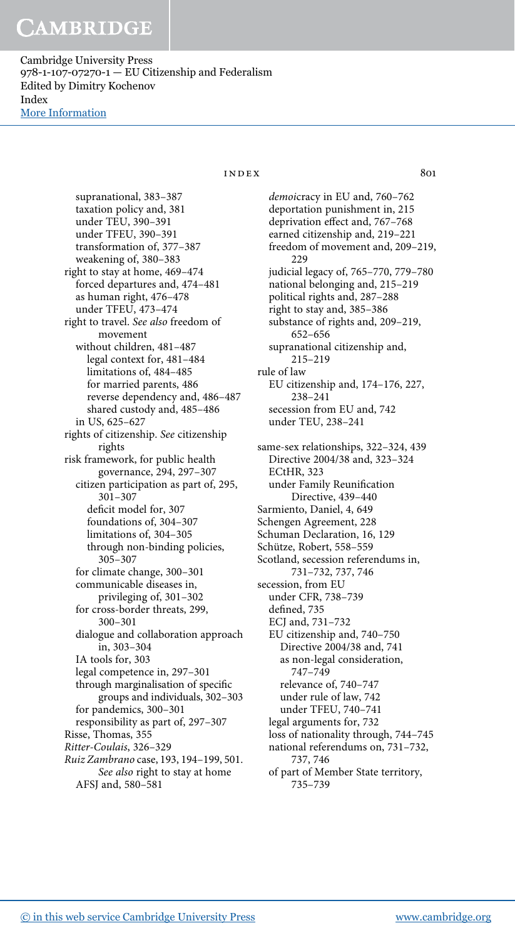Cambridge University Press 978-1-107-07270-1 — EU Citizenship and Federalism Edited by Dimitry Kochenov Index [More Information](www.cambridge.org/9781107072701)

> supranational, 383–387 taxation policy and, 381 under TEU, 390–391 under TFEU, 390–391 transformation of, 377–387 weakening of, 380–383 right to stay at home, 469–474 forced departures and, 474–481 as human right, 476–478 under TFEU, 473–474 right to travel. See also freedom of movement without children, 481–487 legal context for, 481–484 limitations of, 484–485 for married parents, 486 reverse dependency and, 486–487 shared custody and, 485–486 in US, 625–627 rights of citizenship. See citizenship rights risk framework, for public health governance, 294, 297–307 citizen participation as part of, 295, 301–307 deficit model for, 307 foundations of, 304–307 limitations of, 304–305 through non-binding policies, 305–307 for climate change, 300–301 communicable diseases in, privileging of, 301–302 for cross-border threats, 299, 300–301 dialogue and collaboration approach in, 303–304 IA tools for, 303 legal competence in, 297–301 through marginalisation of specific groups and individuals, 302–303 for pandemics, 300–301 responsibility as part of, 297–307 Risse, Thomas, 355 Ritter-Coulais, 326–329 Ruiz Zambrano case, 193, 194–199, 501. See also right to stay at home AFSJ and, 580–581

### index 801

demoicracy in EU and, 760–762 deportation punishment in, 215 deprivation effect and, 767–768 earned citizenship and, 219–221 freedom of movement and, 209–219, 229 judicial legacy of, 765–770, 779–780 national belonging and, 215–219 political rights and, 287–288 right to stay and, 385–386 substance of rights and, 209–219, 652–656 supranational citizenship and, 215–219 rule of law EU citizenship and, 174–176, 227, 238–241 secession from EU and, 742 under TEU, 238–241 same-sex relationships, 322–324, 439 Directive 2004/38 and, 323–324 ECtHR, 323 under Family Reunification Directive, 439–440 Sarmiento, Daniel, 4, 649 Schengen Agreement, 228 Schuman Declaration, 16, 129 Schütze, Robert, 558–559 Scotland, secession referendums in, 731–732, 737, 746 secession, from EU under CFR, 738–739 defined, 735 ECJ and, 731–732 EU citizenship and, 740–750 Directive 2004/38 and, 741 as non-legal consideration, 747–749 relevance of, 740–747 under rule of law, 742 under TFEU, 740–741 legal arguments for, 732 loss of nationality through, 744–745 national referendums on, 731–732, 737, 746 of part of Member State territory, 735–739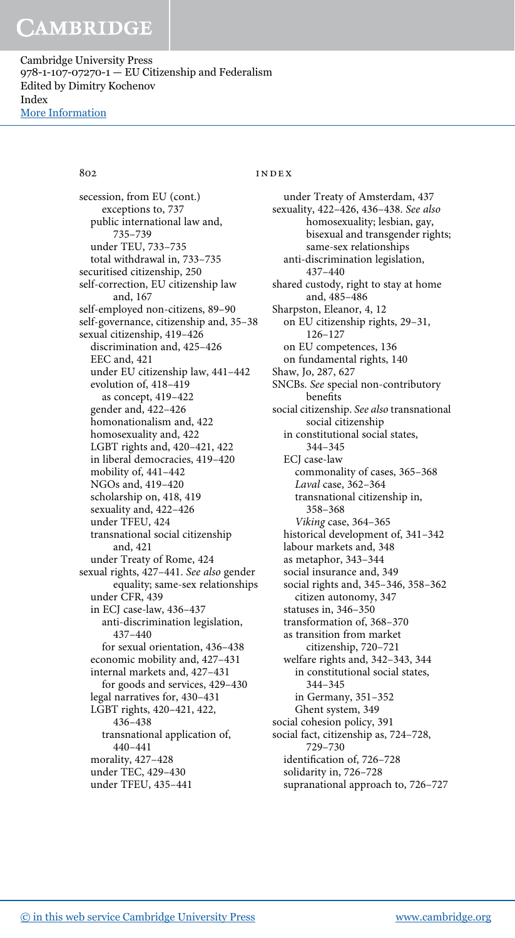Cambridge University Press 978-1-107-07270-1 — EU Citizenship and Federalism Edited by Dimitry Kochenov Index [More Information](www.cambridge.org/9781107072701)

secession, from EU (cont.) exceptions to, 737 public international law and, 735–739 under TEU, 733–735 total withdrawal in, 733–735 securitised citizenship, 250 self-correction, EU citizenship law and, 167 self-employed non-citizens, 89–90 self-governance, citizenship and, 35–38 sexual citizenship, 419–426 discrimination and, 425–426 EEC and, 421 under EU citizenship law, 441–442 evolution of, 418–419 as concept, 419–422 gender and, 422–426 homonationalism and, 422 homosexuality and, 422 LGBT rights and, 420–421, 422 in liberal democracies, 419–420 mobility of, 441–442 NGOs and, 419–420 scholarship on, 418, 419 sexuality and, 422–426 under TFEU, 424 transnational social citizenship and, 421 under Treaty of Rome, 424 sexual rights, 427–441. See also gender equality; same-sex relationships under CFR, 439 in ECJ case-law, 436–437 anti-discrimination legislation, 437–440 for sexual orientation, 436–438 economic mobility and, 427–431 internal markets and, 427–431 for goods and services, 429–430 legal narratives for, 430–431 LGBT rights, 420–421, 422, 436–438 transnational application of, 440–441 morality, 427–428 under TEC, 429–430 under TFEU, 435–441

### 802 INDEX

under Treaty of Amsterdam, 437 sexuality, 422–426, 436–438. See also homosexuality; lesbian, gay, bisexual and transgender rights; same-sex relationships anti-discrimination legislation, 437–440 shared custody, right to stay at home and, 485–486 Sharpston, Eleanor, 4, 12 on EU citizenship rights, 29–31, 126–127 on EU competences, 136 on fundamental rights, 140 Shaw, Jo, 287, 627 SNCBs. See special non-contributory benefits social citizenship. See also transnational social citizenship in constitutional social states, 344–345 ECJ case-law commonality of cases, 365–368 Laval case, 362–364 transnational citizenship in, 358–368 Viking case, 364–365 historical development of, 341–342 labour markets and, 348 as metaphor, 343–344 social insurance and, 349 social rights and, 345–346, 358–362 citizen autonomy, 347 statuses in, 346–350 transformation of, 368–370 as transition from market citizenship, 720–721 welfare rights and, 342–343, 344 in constitutional social states, 344–345 in Germany, 351–352 Ghent system, 349 social cohesion policy, 391 social fact, citizenship as, 724–728, 729–730 identification of, 726–728 solidarity in, 726–728 supranational approach to, 726–727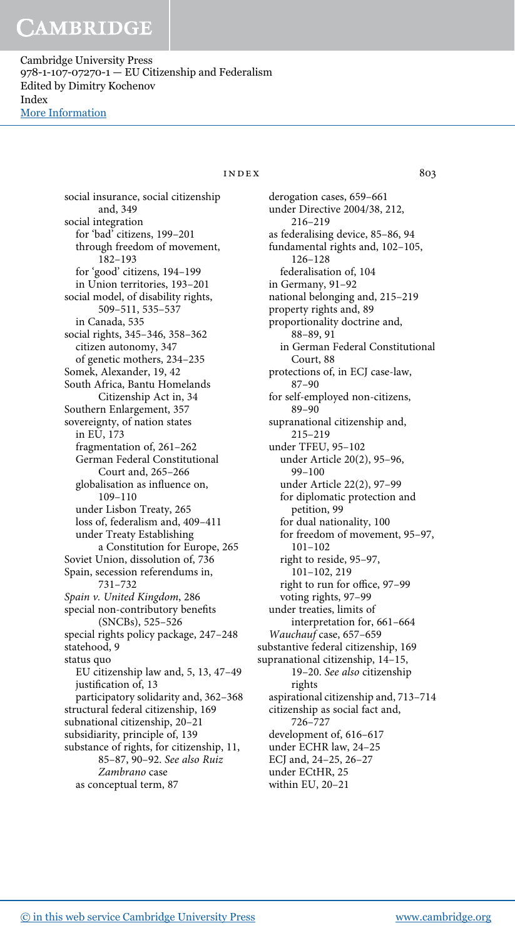Cambridge University Press 978-1-107-07270-1 — EU Citizenship and Federalism Edited by Dimitry Kochenov Index [More Information](www.cambridge.org/9781107072701)

> social insurance, social citizenship and, 349 social integration for 'bad' citizens, 199–201 through freedom of movement, 182–193 for 'good' citizens, 194–199 in Union territories, 193–201 social model, of disability rights, 509–511, 535–537 in Canada, 535 social rights, 345–346, 358–362 citizen autonomy, 347 of genetic mothers, 234–235 Somek, Alexander, 19, 42 South Africa, Bantu Homelands Citizenship Act in, 34 Southern Enlargement, 357 sovereignty, of nation states in EU, 173 fragmentation of, 261–262 German Federal Constitutional Court and, 265–266 globalisation as influence on, 109–110 under Lisbon Treaty, 265 loss of, federalism and, 409–411 under Treaty Establishing a Constitution for Europe, 265 Soviet Union, dissolution of, 736 Spain, secession referendums in, 731–732 Spain v. United Kingdom, 286 special non-contributory benefits (SNCBs), 525–526 special rights policy package, 247–248 statehood, 9 status quo EU citizenship law and, 5, 13, 47–49 justification of, 13 participatory solidarity and, 362–368 structural federal citizenship, 169 subnational citizenship, 20–21 subsidiarity, principle of, 139 substance of rights, for citizenship, 11, 85–87, 90–92. See also Ruiz Zambrano case as conceptual term, 87

### index 803

derogation cases, 659–661 under Directive 2004/38, 212, 216–219 as federalising device, 85–86, 94 fundamental rights and, 102–105, 126–128 federalisation of, 104 in Germany, 91–92 national belonging and, 215–219 property rights and, 89 proportionality doctrine and, 88–89, 91 in German Federal Constitutional Court, 88 protections of, in ECJ case-law, 87–90 for self-employed non-citizens, 89–90 supranational citizenship and, 215–219 under TFEU, 95–102 under Article 20(2), 95–96, 99–100 under Article 22(2), 97–99 for diplomatic protection and petition, 99 for dual nationality, 100 for freedom of movement, 95–97, 101–102 right to reside, 95–97, 101–102, 219 right to run for office, 97–99 voting rights, 97–99 under treaties, limits of interpretation for, 661–664 Wauchauf case, 657–659 substantive federal citizenship, 169 supranational citizenship, 14–15, 19–20. See also citizenship rights aspirational citizenship and, 713–714 citizenship as social fact and, 726–727 development of, 616–617 under ECHR law, 24–25 ECJ and, 24–25, 26–27 under ECtHR, 25 within EU, 20–21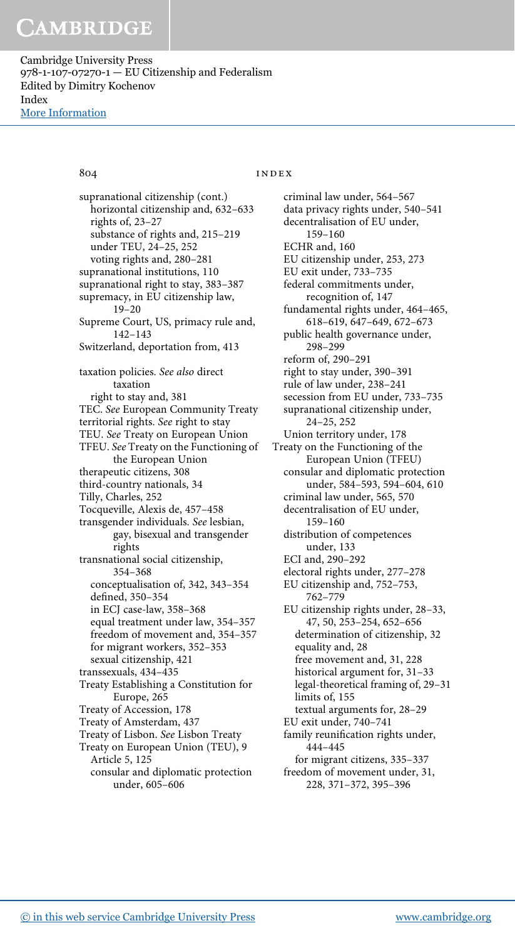Cambridge University Press 978-1-107-07270-1 — EU Citizenship and Federalism Edited by Dimitry Kochenov Index [More Information](www.cambridge.org/9781107072701)

supranational citizenship (cont.) horizontal citizenship and, 632–633 rights of, 23–27 substance of rights and, 215–219 under TEU, 24–25, 252 voting rights and, 280–281 supranational institutions, 110 supranational right to stay, 383–387 supremacy, in EU citizenship law, 19–20 Supreme Court, US, primacy rule and, 142–143 Switzerland, deportation from, 413 taxation policies. See also direct taxation right to stay and, 381 TEC. See European Community Treaty territorial rights. See right to stay TEU. See Treaty on European Union TFEU. See Treaty on the Functioning of the European Union therapeutic citizens, 308 third-country nationals, 34 Tilly, Charles, 252 Tocqueville, Alexis de, 457–458 transgender individuals. See lesbian, gay, bisexual and transgender rights transnational social citizenship, 354–368 conceptualisation of, 342, 343–354 defined, 350–354 in ECJ case-law, 358–368 equal treatment under law, 354–357 freedom of movement and, 354–357 for migrant workers, 352–353 sexual citizenship, 421 transsexuals, 434–435 Treaty Establishing a Constitution for Europe, 265 Treaty of Accession, 178 Treaty of Amsterdam, 437 Treaty of Lisbon. See Lisbon Treaty Treaty on European Union (TEU), 9 Article 5, 125 consular and diplomatic protection under, 605–606

### 804 INDEX

criminal law under, 564–567 data privacy rights under, 540–541 decentralisation of EU under, 159–160 ECHR and, 160 EU citizenship under, 253, 273 EU exit under, 733–735 federal commitments under, recognition of, 147 fundamental rights under, 464–465, 618–619, 647–649, 672–673 public health governance under, 298–299 reform of, 290–291 right to stay under, 390–391 rule of law under, 238–241 secession from EU under, 733–735 supranational citizenship under, 24–25, 252 Union territory under, 178 Treaty on the Functioning of the European Union (TFEU) consular and diplomatic protection under, 584–593, 594–604, 610 criminal law under, 565, 570 decentralisation of EU under, 159–160 distribution of competences under, 133 ECI and, 290–292 electoral rights under, 277–278 EU citizenship and, 752–753, 762–779 EU citizenship rights under, 28–33, 47, 50, 253–254, 652–656 determination of citizenship, 32 equality and, 28 free movement and, 31, 228 historical argument for, 31-33 legal-theoretical framing of, 29–31 limits of, 155 textual arguments for, 28–29 EU exit under, 740–741 family reunification rights under, 444–445 for migrant citizens, 335–337 freedom of movement under, 31, 228, 371–372, 395–396